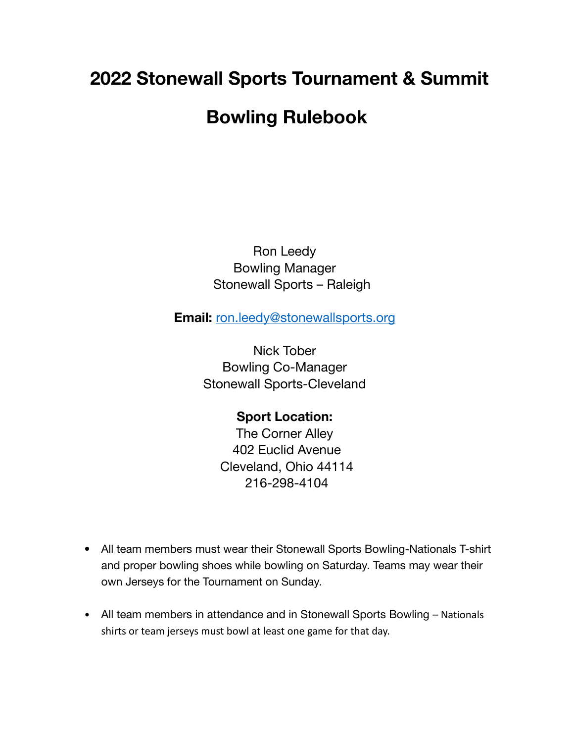## **2022 Stonewall Sports Tournament & Summit Bowling Rulebook**

Ron Leedy Bowling Manager Stonewall Sports – Raleigh

**Email:** [ron.leedy@stonewallsports.org](mailto:ron.leedy@stonewallsports.org)

Nick Tober Bowling Co-Manager Stonewall Sports-Cleveland

> **Sport Location:** The Corner Alley 402 Euclid Avenue Cleveland, Ohio 44114 216-298-4104

- All team members must wear their Stonewall Sports Bowling-Nationals T-shirt and proper bowling shoes while bowling on Saturday. Teams may wear their own Jerseys for the Tournament on Sunday.
- All team members in attendance and in Stonewall Sports Bowling Nationals shirts or team jerseys must bowl at least one game for that day.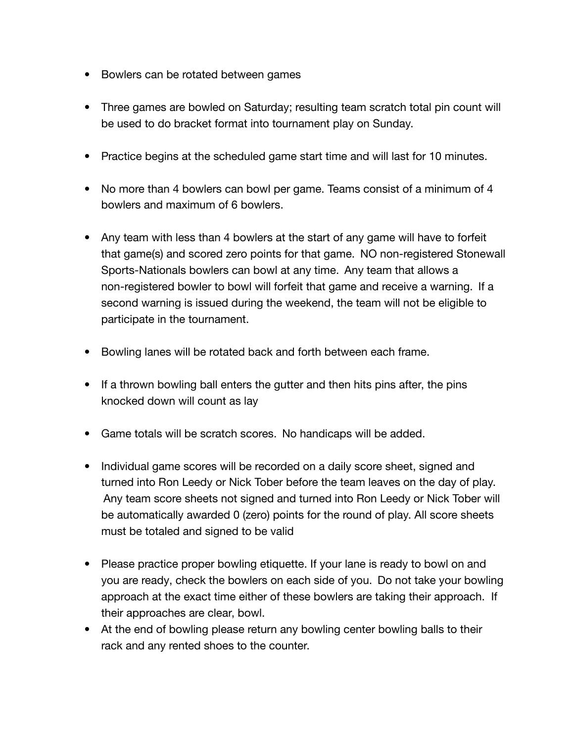- Bowlers can be rotated between games
- Three games are bowled on Saturday; resulting team scratch total pin count will be used to do bracket format into tournament play on Sunday.
- Practice begins at the scheduled game start time and will last for 10 minutes.
- No more than 4 bowlers can bowl per game. Teams consist of a minimum of 4 bowlers and maximum of 6 bowlers.
- Any team with less than 4 bowlers at the start of any game will have to forfeit that game(s) and scored zero points for that game. NO non-registered Stonewall Sports-Nationals bowlers can bowl at any time. Any team that allows a non-registered bowler to bowl will forfeit that game and receive a warning. If a second warning is issued during the weekend, the team will not be eligible to participate in the tournament.
- Bowling lanes will be rotated back and forth between each frame.
- If a thrown bowling ball enters the gutter and then hits pins after, the pins knocked down will count as lay
- Game totals will be scratch scores. No handicaps will be added.
- Individual game scores will be recorded on a daily score sheet, signed and turned into Ron Leedy or Nick Tober before the team leaves on the day of play. Any team score sheets not signed and turned into Ron Leedy or Nick Tober will be automatically awarded 0 (zero) points for the round of play. All score sheets must be totaled and signed to be valid
- Please practice proper bowling etiquette. If your lane is ready to bowl on and you are ready, check the bowlers on each side of you. Do not take your bowling approach at the exact time either of these bowlers are taking their approach. If their approaches are clear, bowl.
- At the end of bowling please return any bowling center bowling balls to their rack and any rented shoes to the counter.